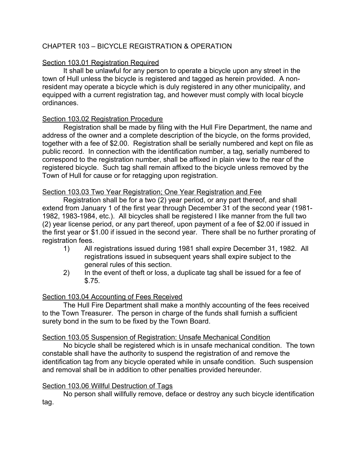# CHAPTER 103 – BICYCLE REGISTRATION & OPERATION

# Section 103.01 Registration Required

It shall be unlawful for any person to operate a bicycle upon any street in the town of Hull unless the bicycle is registered and tagged as herein provided. A nonresident may operate a bicycle which is duly registered in any other municipality, and equipped with a current registration tag, and however must comply with local bicycle ordinances.

# Section 103.02 Registration Procedure

Registration shall be made by filing with the Hull Fire Department, the name and address of the owner and a complete description of the bicycle, on the forms provided, together with a fee of \$2.00. Registration shall be serially numbered and kept on file as public record. In connection with the identification number, a tag, serially numbered to correspond to the registration number, shall be affixed in plain view to the rear of the registered bicycle. Such tag shall remain affixed to the bicycle unless removed by the Town of Hull for cause or for retagging upon registration.

# Section 103.03 Two Year Registration; One Year Registration and Fee

Registration shall be for a two (2) year period, or any part thereof, and shall extend from January 1 of the first year through December 31 of the second year (1981- 1982, 1983-1984, etc.). All bicycles shall be registered I like manner from the full two (2) year license period, or any part thereof, upon payment of a fee of \$2.00 if issued in the first year or \$1.00 if issued in the second year. There shall be no further prorating of registration fees.

- 1) All registrations issued during 1981 shall expire December 31, 1982. All registrations issued in subsequent years shall expire subject to the general rules of this section.
- 2) In the event of theft or loss, a duplicate tag shall be issued for a fee of \$.75.

# Section 103.04 Accounting of Fees Received

The Hull Fire Department shall make a monthly accounting of the fees received to the Town Treasurer. The person in charge of the funds shall furnish a sufficient surety bond in the sum to be fixed by the Town Board.

## Section 103.05 Suspension of Registration: Unsafe Mechanical Condition

No bicycle shall be registered which is in unsafe mechanical condition. The town constable shall have the authority to suspend the registration of and remove the identification tag from any bicycle operated while in unsafe condition. Such suspension and removal shall be in addition to other penalties provided hereunder.

## Section 103.06 Willful Destruction of Tags

No person shall willfully remove, deface or destroy any such bicycle identification tag.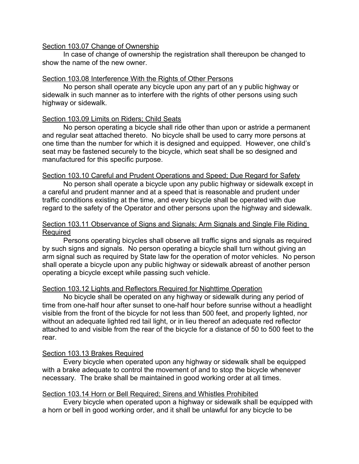#### Section 103.07 Change of Ownership

In case of change of ownership the registration shall thereupon be changed to show the name of the new owner.

### Section 103.08 Interference With the Rights of Other Persons

No person shall operate any bicycle upon any part of an y public highway or sidewalk in such manner as to interfere with the rights of other persons using such highway or sidewalk.

#### Section 103.09 Limits on Riders; Child Seats

No person operating a bicycle shall ride other than upon or astride a permanent and regular seat attached thereto. No bicycle shall be used to carry more persons at one time than the number for which it is designed and equipped. However, one child's seat may be fastened securely to the bicycle, which seat shall be so designed and manufactured for this specific purpose.

#### Section 103.10 Careful and Prudent Operations and Speed; Due Regard for Safety

No person shall operate a bicycle upon any public highway or sidewalk except in a careful and prudent manner and at a speed that is reasonable and prudent under traffic conditions existing at the time, and every bicycle shall be operated with due regard to the safety of the Operator and other persons upon the highway and sidewalk.

#### Section 103.11 Observance of Signs and Signals; Arm Signals and Single File Riding Required

Persons operating bicycles shall observe all traffic signs and signals as required by such signs and signals. No person operating a bicycle shall turn without giving an arm signal such as required by State law for the operation of motor vehicles. No person shall operate a bicycle upon any public highway or sidewalk abreast of another person operating a bicycle except while passing such vehicle.

## Section 103.12 Lights and Reflectors Required for Nighttime Operation

No bicycle shall be operated on any highway or sidewalk during any period of time from one-half hour after sunset to one-half hour before sunrise without a headlight visible from the front of the bicycle for not less than 500 feet, and properly lighted, nor without an adequate lighted red tail light, or in lieu thereof an adequate red reflector attached to and visible from the rear of the bicycle for a distance of 50 to 500 feet to the rear.

## Section 103.13 Brakes Required

Every bicycle when operated upon any highway or sidewalk shall be equipped with a brake adequate to control the movement of and to stop the bicycle whenever necessary. The brake shall be maintained in good working order at all times.

#### Section 103.14 Horn or Bell Required; Sirens and Whistles Prohibited

Every bicycle when operated upon a highway or sidewalk shall be equipped with a horn or bell in good working order, and it shall be unlawful for any bicycle to be